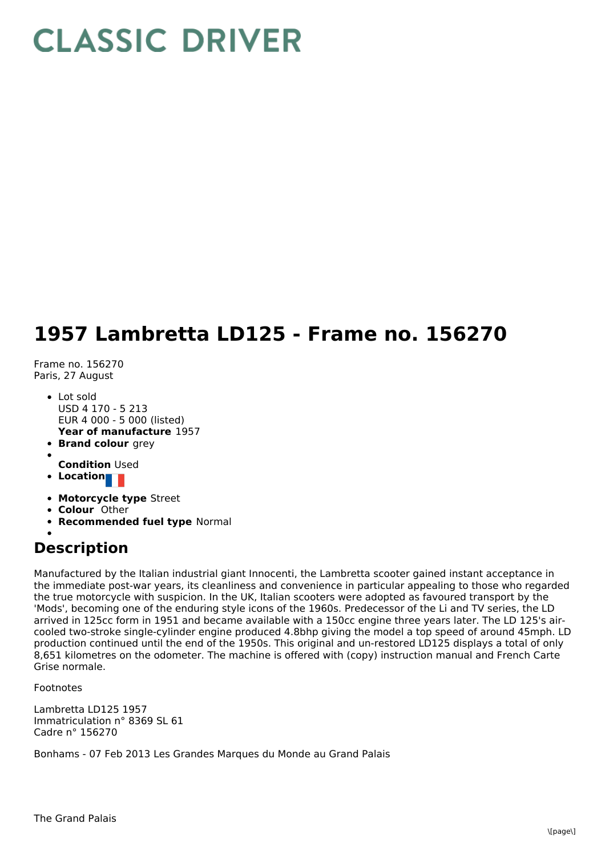## **CLASSIC DRIVER**

## **1957 Lambretta LD125 - Frame no. 156270**

Frame no. 156270 Paris, 27 August

- **Year of manufacture** 1957 Lot sold USD 4 170 - 5 213 EUR 4 000 - 5 000 (listed)
- **Brand colour** grey
- **Condition** Used
- **Location**
- **Motorcycle type** Street
- **Colour** Other
- **Recommended fuel type** Normal

## **Description**

Manufactured by the Italian industrial giant Innocenti, the Lambretta scooter gained instant acceptance in the immediate post-war years, its cleanliness and convenience in particular appealing to those who regarded the true motorcycle with suspicion. In the UK, Italian scooters were adopted as favoured transport by the 'Mods', becoming one of the enduring style icons of the 1960s. Predecessor of the Li and TV series, the LD arrived in 125cc form in 1951 and became available with a 150cc engine three years later. The LD 125's aircooled two-stroke single-cylinder engine produced 4.8bhp giving the model a top speed of around 45mph. LD production continued until the end of the 1950s. This original and un-restored LD125 displays a total of only 8,651 kilometres on the odometer. The machine is offered with (copy) instruction manual and French Carte Grise normale.

Footnotes

Lambretta LD125 1957 Immatriculation n° 8369 SL 61 Cadre n° 156270

Bonhams - 07 Feb 2013 Les Grandes Marques du Monde au Grand Palais